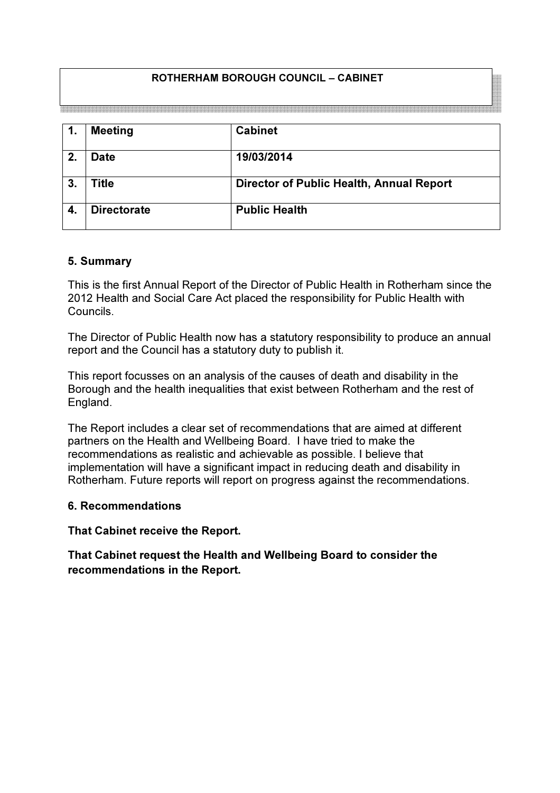# ROTHERHAM BOROUGH COUNCIL – CABINET

| 1.             | <b>Meeting</b>     | <b>Cabinet</b>                           |
|----------------|--------------------|------------------------------------------|
| 2.             | <b>Date</b>        | 19/03/2014                               |
| 3 <sub>1</sub> | Title              | Director of Public Health, Annual Report |
|                | <b>Directorate</b> | <b>Public Health</b>                     |

#### 5. Summary

This is the first Annual Report of the Director of Public Health in Rotherham since the 2012 Health and Social Care Act placed the responsibility for Public Health with Councils.

The Director of Public Health now has a statutory responsibility to produce an annual report and the Council has a statutory duty to publish it.

This report focusses on an analysis of the causes of death and disability in the Borough and the health inequalities that exist between Rotherham and the rest of England.

The Report includes a clear set of recommendations that are aimed at different partners on the Health and Wellbeing Board. I have tried to make the recommendations as realistic and achievable as possible. I believe that implementation will have a significant impact in reducing death and disability in Rotherham. Future reports will report on progress against the recommendations.

#### 6. Recommendations

That Cabinet receive the Report.

That Cabinet request the Health and Wellbeing Board to consider the recommendations in the Report.